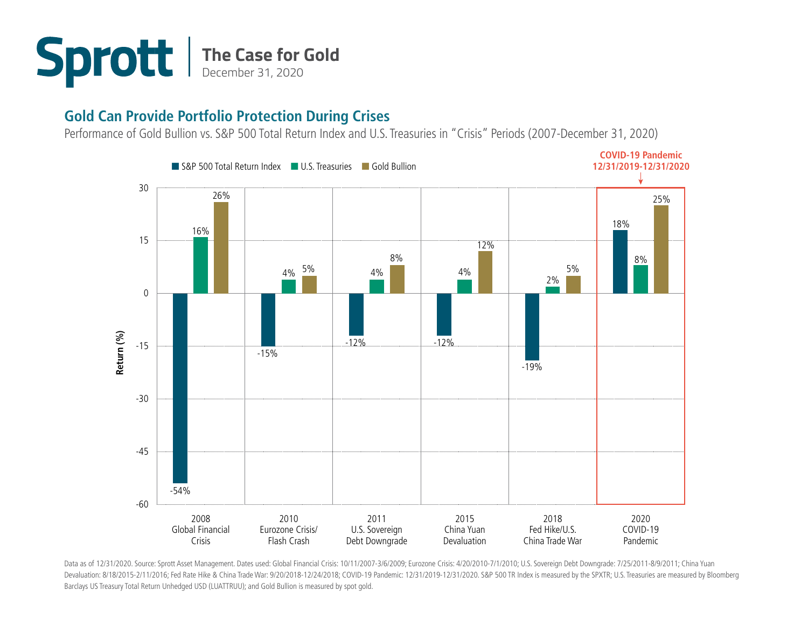

## **Gold Can Provide Portfolio Protection During Crises**

Performance of Gold Bullion vs. S&P 500 Total Return Index and U.S. Treasuries in "Crisis" Periods (2007-December 31, 2020)



Data as of 12/31/2020. Source: Sprott Asset Management. Dates used: Global Financial Crisis: 10/11/2007-3/6/2009; Eurozone Crisis: 4/20/2010-7/1/2010; U.S. Sovereign Debt Downgrade: 7/25/2011-8/9/2011; China Yuan Devaluation: 8/18/2015-2/11/2016; Fed Rate Hike & China Trade War: 9/20/2018-12/24/2018; COVID-19 Pandemic: 12/31/2019-12/31/2020. S&P 500 TR Index is measured by the SPXTR; U.S. Treasuries are measured by Bloomberg Barclays US Treasury Total Return Unhedged USD (LUATTRUU); and Gold Bullion is measured by spot gold.